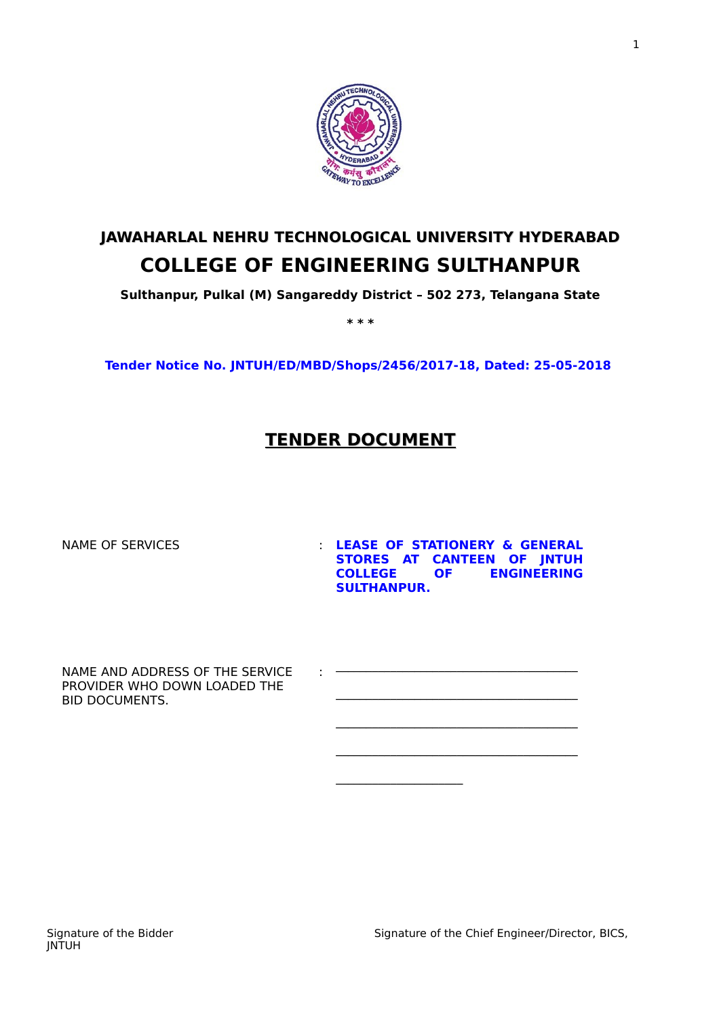

# **JAWAHARLAL NEHRU TECHNOLOGICAL UNIVERSITY HYDERABAD COLLEGE OF ENGINEERING SULTHANPUR**

**Sulthanpur, Pulkal (M) Sangareddy District – 502 273, Telangana State**

**\* \* \***

**Tender Notice No. JNTUH/ED/MBD/Shops/2456/2017-18, Dated: 25-05-2018** 

## **TENDER DOCUMENT**

:

NAME OF SERVICES **1992 CONTROLLY SERVICES CONTROLLY SERVICES STORES AT CANTEEN OF JNTUH COLLEGE OF ENGINEERING SULTHANPUR.** 

\_\_\_\_\_\_\_\_\_\_\_\_\_\_\_\_\_\_\_\_\_\_\_\_\_\_\_\_\_\_\_\_\_\_\_\_\_\_\_\_

\_\_\_\_\_\_\_\_\_\_\_\_\_\_\_\_\_\_\_\_\_\_\_\_\_\_\_\_\_\_\_\_\_\_\_\_\_\_\_\_

 $\mathcal{L}_\text{max}$ 

\_\_\_\_\_\_\_\_\_\_\_\_\_\_\_\_\_\_\_\_\_\_\_\_\_\_\_\_\_\_\_\_\_\_\_\_\_\_\_\_

 $\overline{\phantom{a}}$  , where  $\overline{\phantom{a}}$ 

NAME AND ADDRESS OF THE SERVICE PROVIDER WHO DOWN LOADED THE BID DOCUMENTS.

Signature of the Bidder Signature of the Chief Engineer/Director, BICS,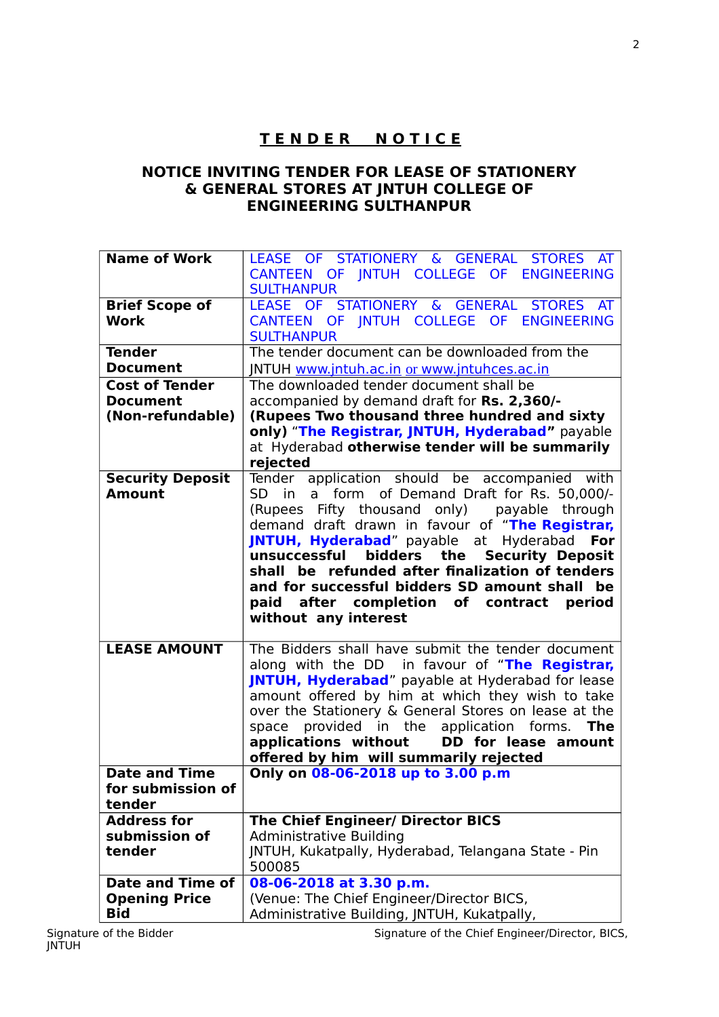## **T E N D E R N O T I C E**

#### **NOTICE INVITING TENDER FOR LEASE OF STATIONERY & GENERAL STORES AT JNTUH COLLEGE OF ENGINEERING SULTHANPUR**

| CANTEEN OF INTUH COLLEGE OF ENGINEERING                                                                                 | LEASE OF STATIONERY & GENERAL<br>STORES AT    |  |  |  |  |  |
|-------------------------------------------------------------------------------------------------------------------------|-----------------------------------------------|--|--|--|--|--|
|                                                                                                                         |                                               |  |  |  |  |  |
| <b>SULTHANPUR</b>                                                                                                       |                                               |  |  |  |  |  |
| LEASE OF STATIONERY & GENERAL<br><b>Brief Scope of</b>                                                                  | STORES AT                                     |  |  |  |  |  |
| CANTEEN OF INTUH COLLEGE OF ENGINEERING<br><b>Work</b>                                                                  |                                               |  |  |  |  |  |
| <b>SULTHANPUR</b>                                                                                                       |                                               |  |  |  |  |  |
| The tender document can be downloaded from the<br><b>Tender</b>                                                         |                                               |  |  |  |  |  |
| <b>Document</b><br>JNTUH www.jntuh.ac.in or www.jntuhces.ac.in                                                          |                                               |  |  |  |  |  |
| The downloaded tender document shall be<br><b>Cost of Tender</b>                                                        |                                               |  |  |  |  |  |
| accompanied by demand draft for Rs. 2,360/-<br><b>Document</b>                                                          |                                               |  |  |  |  |  |
| (Rupees Two thousand three hundred and sixty<br>(Non-refundable)                                                        |                                               |  |  |  |  |  |
| only) "The Registrar, JNTUH, Hyderabad" payable                                                                         |                                               |  |  |  |  |  |
| at Hyderabad otherwise tender will be summarily                                                                         |                                               |  |  |  |  |  |
| rejected                                                                                                                |                                               |  |  |  |  |  |
| <b>Security Deposit</b><br>Tender application should be accompanied with                                                |                                               |  |  |  |  |  |
| SD in a form of Demand Draft for Rs. 50,000/-<br><b>Amount</b>                                                          |                                               |  |  |  |  |  |
| (Rupees Fifty thousand only) payable through                                                                            |                                               |  |  |  |  |  |
| demand draft drawn in favour of "The Registrar,                                                                         |                                               |  |  |  |  |  |
| JNTUH, Hyderabad" payable at Hyderabad                                                                                  | For                                           |  |  |  |  |  |
| unsuccessful<br>bidders                                                                                                 | <b>Security Deposit</b><br>the                |  |  |  |  |  |
| shall be refunded after finalization of tenders                                                                         |                                               |  |  |  |  |  |
|                                                                                                                         | and for successful bidders SD amount shall be |  |  |  |  |  |
| paid after completion of contract period                                                                                |                                               |  |  |  |  |  |
| without any interest                                                                                                    |                                               |  |  |  |  |  |
|                                                                                                                         |                                               |  |  |  |  |  |
| The Bidders shall have submit the tender document<br><b>LEASE AMOUNT</b>                                                |                                               |  |  |  |  |  |
| along with the DD in favour of "The Registrar,                                                                          |                                               |  |  |  |  |  |
|                                                                                                                         |                                               |  |  |  |  |  |
| JNTUH, Hyderabad" payable at Hyderabad for lease                                                                        |                                               |  |  |  |  |  |
| amount offered by him at which they wish to take                                                                        |                                               |  |  |  |  |  |
| over the Stationery & General Stores on lease at the                                                                    |                                               |  |  |  |  |  |
| space provided in the application forms.                                                                                | <b>The</b>                                    |  |  |  |  |  |
| applications without                                                                                                    | DD for lease amount                           |  |  |  |  |  |
| offered by him will summarily rejected                                                                                  |                                               |  |  |  |  |  |
| Only on 08-06-2018 up to 3.00 p.m<br><b>Date and Time</b>                                                               |                                               |  |  |  |  |  |
| for submission of                                                                                                       |                                               |  |  |  |  |  |
| tender                                                                                                                  |                                               |  |  |  |  |  |
| <b>Address for</b><br><b>The Chief Engineer/ Director BICS</b>                                                          |                                               |  |  |  |  |  |
| submission of<br><b>Administrative Building</b>                                                                         |                                               |  |  |  |  |  |
| JNTUH, Kukatpally, Hyderabad, Telangana State - Pin<br>tender                                                           |                                               |  |  |  |  |  |
| 500085                                                                                                                  |                                               |  |  |  |  |  |
| <b>Date and Time of</b><br>08-06-2018 at 3.30 p.m.<br><b>Opening Price</b><br>(Venue: The Chief Engineer/Director BICS, |                                               |  |  |  |  |  |

Signature of the Chief Engineer/Director, BICS,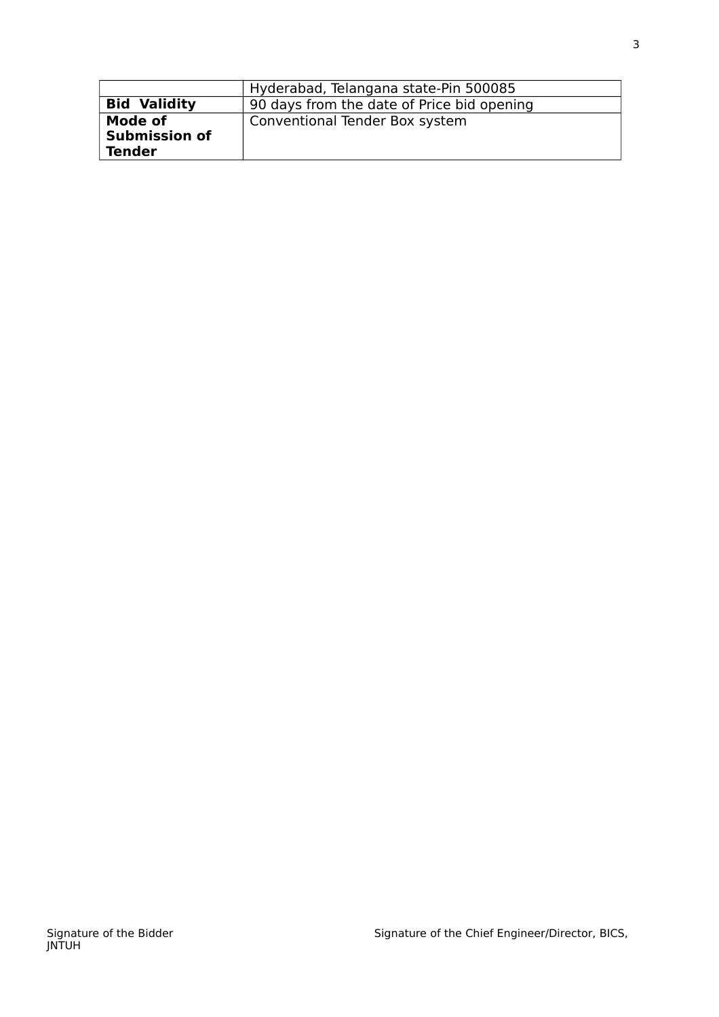|                      | Hyderabad, Telangana state-Pin 500085      |
|----------------------|--------------------------------------------|
| <b>Bid Validity</b>  | 90 days from the date of Price bid opening |
| Mode of              | Conventional Tender Box system             |
| <b>Submission of</b> |                                            |
| <b>Tender</b>        |                                            |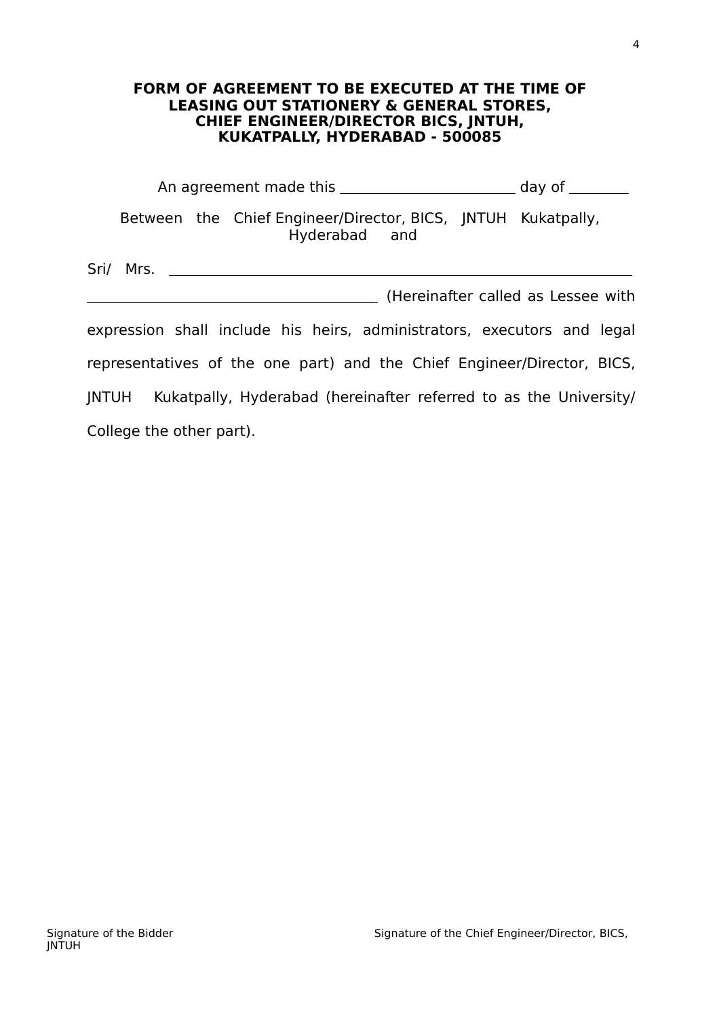#### **FORM OF AGREEMENT TO BE EXECUTED AT THE TIME OF LEASING OUT STATIONERY & GENERAL STORES, CHIEF ENGINEER/DIRECTOR BICS, JNTUH, KUKATPALLY, HYDERABAD - 500085**

|           |  |  |  |  | Between the Chief Engineer/Director, BICS, INTUH Kukatpally,<br>Hyderabad and |  |  |  |  |
|-----------|--|--|--|--|-------------------------------------------------------------------------------|--|--|--|--|
| Sri/ Mrs. |  |  |  |  | (Hereinafter called as Lessee with                                            |  |  |  |  |
|           |  |  |  |  | expression shall include his heirs, administrators, executors and legal       |  |  |  |  |

representatives of the one part) and the Chief Engineer/Director, BICS, JNTUH Kukatpally, Hyderabad (hereinafter referred to as the University/ College the other part).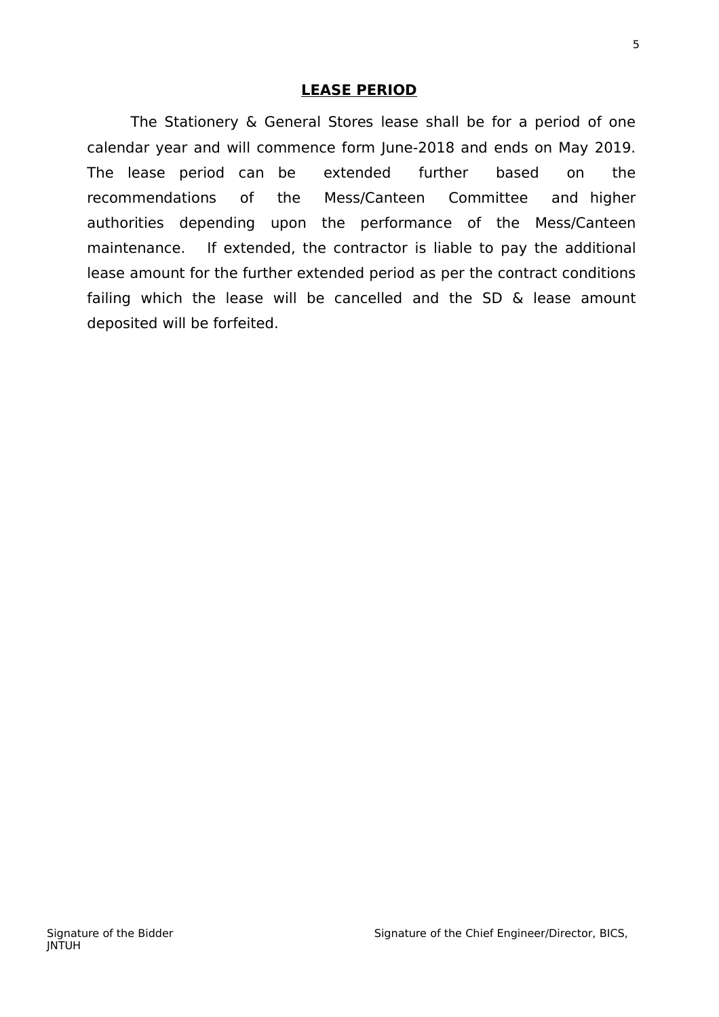### **LEASE PERIOD**

The Stationery & General Stores lease shall be for a period of one calendar year and will commence form June-2018 and ends on May 2019. The lease period can be extended further based on the recommendations of the Mess/Canteen Committee and higher authorities depending upon the performance of the Mess/Canteen maintenance. If extended, the contractor is liable to pay the additional lease amount for the further extended period as per the contract conditions failing which the lease will be cancelled and the SD & lease amount deposited will be forfeited.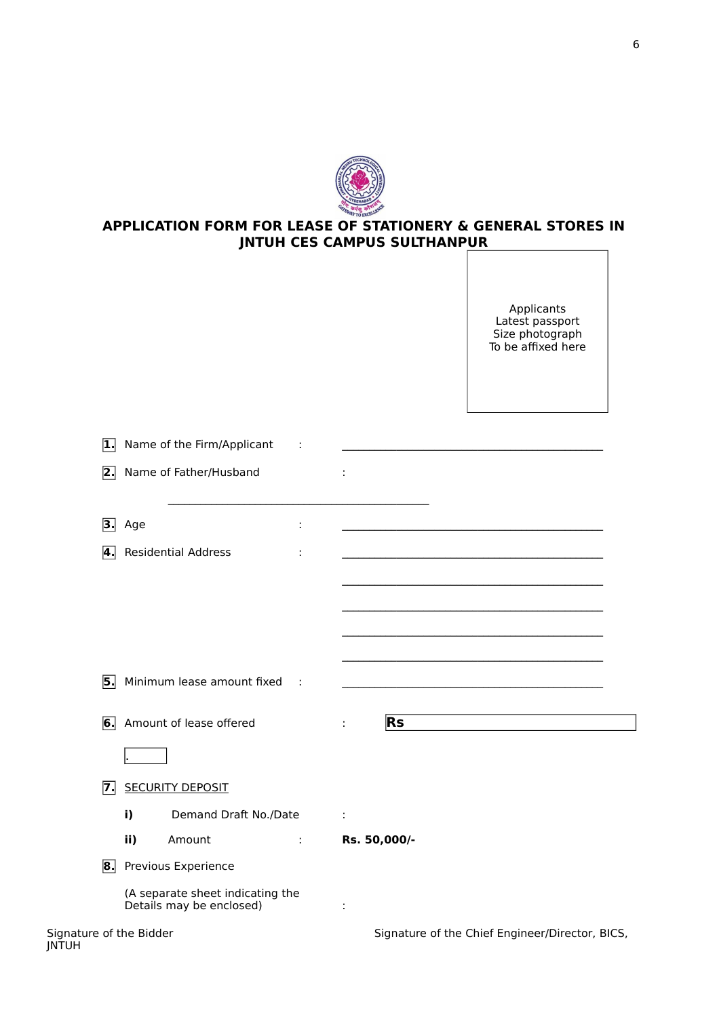

#### **APPLICATION FORM FOR LEASE OF STATIONERY & GENERAL STORES IN JNTUH CES CAMPUS SULTHANPUR**

Applicants Latest passport Size photograph To be affixed here

| $\boxed{1}$             | Name of the Firm/Applicant                                   |   |                                                 |
|-------------------------|--------------------------------------------------------------|---|-------------------------------------------------|
|                         | 2. Name of Father/Husband                                    |   | ÷                                               |
|                         | <b>3.</b> Age                                                | ÷ |                                                 |
| 4.                      | <b>Residential Address</b>                                   |   |                                                 |
|                         |                                                              |   |                                                 |
|                         |                                                              |   |                                                 |
|                         |                                                              |   |                                                 |
|                         |                                                              |   |                                                 |
|                         | 5. Minimum lease amount fixed                                | ÷ |                                                 |
|                         | 6. Amount of lease offered                                   |   | <b>Rs</b>                                       |
|                         |                                                              |   |                                                 |
| $\overline{7}$ .        | <b>SECURITY DEPOSIT</b>                                      |   |                                                 |
|                         | Demand Draft No./Date<br>i)                                  |   | ÷                                               |
|                         | ii)<br>Amount                                                | ÷ | Rs. 50,000/-                                    |
| 8.                      | Previous Experience                                          |   |                                                 |
|                         | (A separate sheet indicating the<br>Details may be enclosed) |   |                                                 |
| Signature of the Bidder |                                                              |   | Signature of the Chief Engineer/Director, BICS, |

| Signature of the Bidde |  |  |
|------------------------|--|--|
| JNTUH                  |  |  |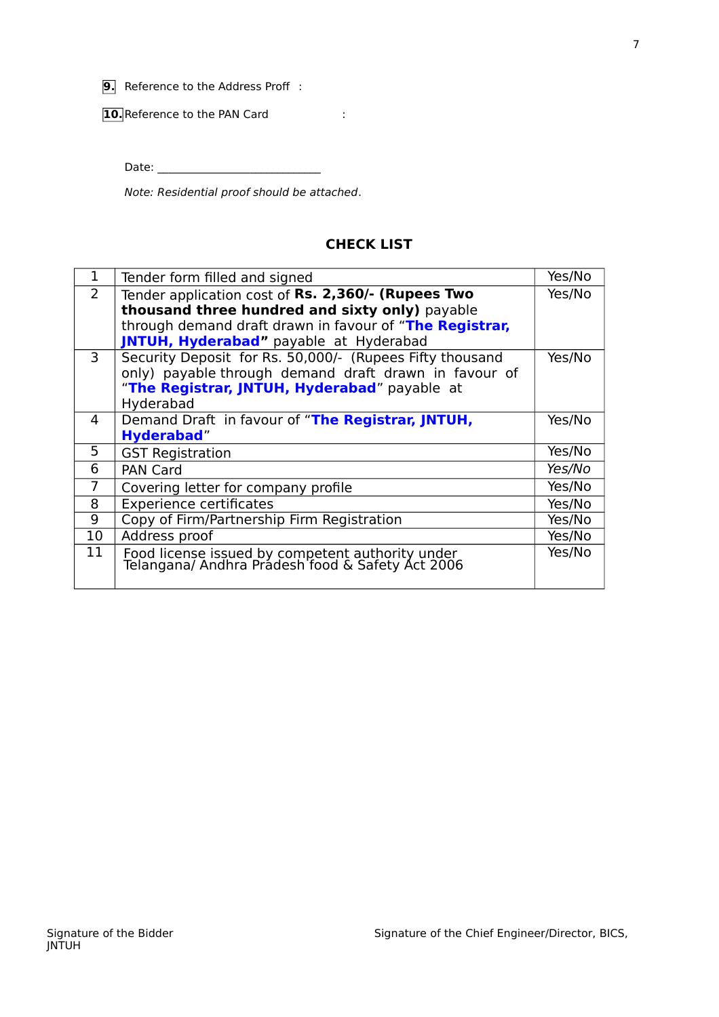**9.** Reference to the Address Proff :

**10.** Reference to the PAN Card :

Date: \_\_\_\_\_\_\_\_\_\_\_\_\_\_\_\_\_\_\_\_\_\_\_\_\_\_\_\_\_\_

Note: Residential proof should be attached.

#### **CHECK LIST**

| $\mathbf{1}$   | Tender form filled and signed                                                                        | Yes/No |  |  |  |  |  |  |
|----------------|------------------------------------------------------------------------------------------------------|--------|--|--|--|--|--|--|
| 2              | Tender application cost of Rs. 2,360/- (Rupees Two                                                   | Yes/No |  |  |  |  |  |  |
|                | thousand three hundred and sixty only) payable                                                       |        |  |  |  |  |  |  |
|                | through demand draft drawn in favour of "The Registrar,                                              |        |  |  |  |  |  |  |
|                | JNTUH, Hyderabad" payable at Hyderabad                                                               |        |  |  |  |  |  |  |
| $\overline{3}$ | Security Deposit for Rs. 50,000/- (Rupees Fifty thousand                                             | Yes/No |  |  |  |  |  |  |
|                | only) payable through demand draft drawn in favour of                                                |        |  |  |  |  |  |  |
|                | "The Registrar, JNTUH, Hyderabad" payable at                                                         |        |  |  |  |  |  |  |
|                | Hyderabad                                                                                            |        |  |  |  |  |  |  |
| 4              | Demand Draft in favour of "The Registrar, JNTUH,                                                     | Yes/No |  |  |  |  |  |  |
|                | <b>Hyderabad"</b>                                                                                    |        |  |  |  |  |  |  |
| 5              | <b>GST Registration</b>                                                                              | Yes/No |  |  |  |  |  |  |
| 6              | <b>PAN Card</b>                                                                                      | Yes/No |  |  |  |  |  |  |
| 7              | Covering letter for company profile                                                                  | Yes/No |  |  |  |  |  |  |
| 8              | <b>Experience certificates</b>                                                                       | Yes/No |  |  |  |  |  |  |
| 9              | Copy of Firm/Partnership Firm Registration                                                           | Yes/No |  |  |  |  |  |  |
| 10             | Address proof                                                                                        | Yes/No |  |  |  |  |  |  |
| 11             | Food license issued by competent authority under<br>Telangana/ Andhra Pradesh food & Safety Act 2006 | Yes/No |  |  |  |  |  |  |
|                |                                                                                                      |        |  |  |  |  |  |  |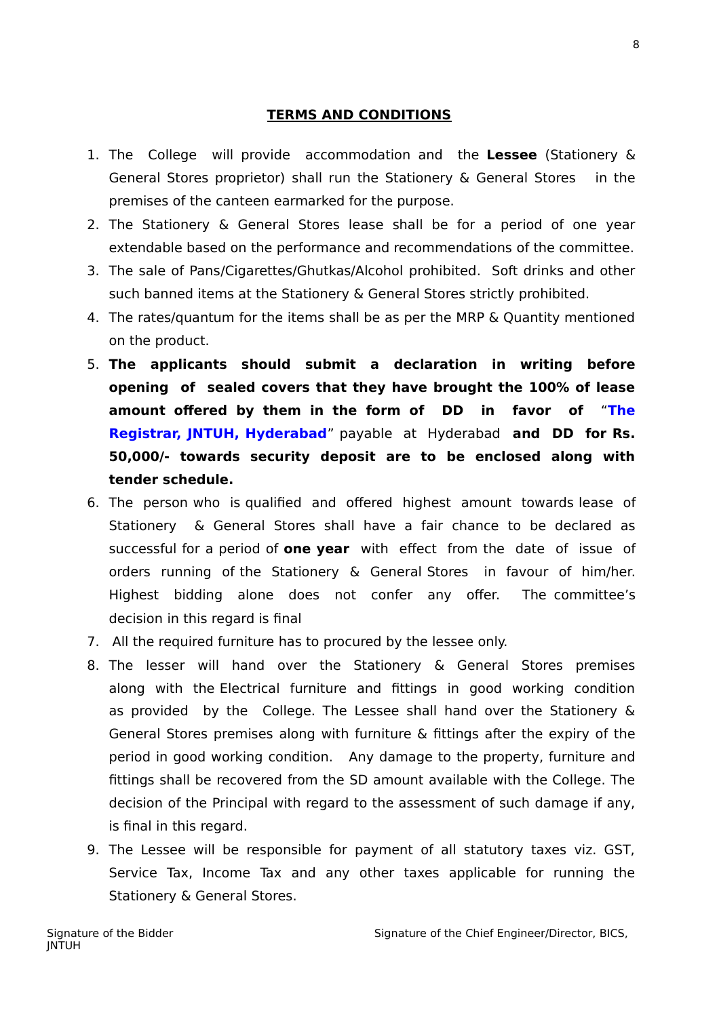#### **TERMS AND CONDITIONS**

- 1. The College will provide accommodation and the **Lessee** (Stationery & General Stores proprietor) shall run the Stationery & General Stores in the premises of the canteen earmarked for the purpose.
- 2. The Stationery & General Stores lease shall be for a period of one year extendable based on the performance and recommendations of the committee.
- 3. The sale of Pans/Cigarettes/Ghutkas/Alcohol prohibited. Soft drinks and other such banned items at the Stationery & General Stores strictly prohibited.
- 4. The rates/quantum for the items shall be as per the MRP & Quantity mentioned on the product.
- 5. **The applicants should submit a declaration in writing before opening of sealed covers that they have brought the 100% of lease amount offered by them in the form of DD in favor of** "**The Registrar, JNTUH, Hyderabad**" payable at Hyderabad **and DD for Rs. 50,000/- towards security deposit are to be enclosed along with tender schedule.**
- 6. The person who is qualified and offered highest amount towards lease of Stationery & General Stores shall have a fair chance to be declared as successful for a period of **one year** with effect from the date of issue of orders running of the Stationery & General Stores in favour of him/her. Highest bidding alone does not confer any offer. The committee's decision in this regard is final
- 7. All the required furniture has to procured by the lessee only.
- 8. The lesser will hand over the Stationery & General Stores premises along with the Electrical furniture and fittings in good working condition as provided by the College. The Lessee shall hand over the Stationery & General Stores premises along with furniture & fittings after the expiry of the period in good working condition. Any damage to the property, furniture and fittings shall be recovered from the SD amount available with the College. The decision of the Principal with regard to the assessment of such damage if any, is final in this regard.
- 9. The Lessee will be responsible for payment of all statutory taxes viz. GST, Service Tax, Income Tax and any other taxes applicable for running the Stationery & General Stores.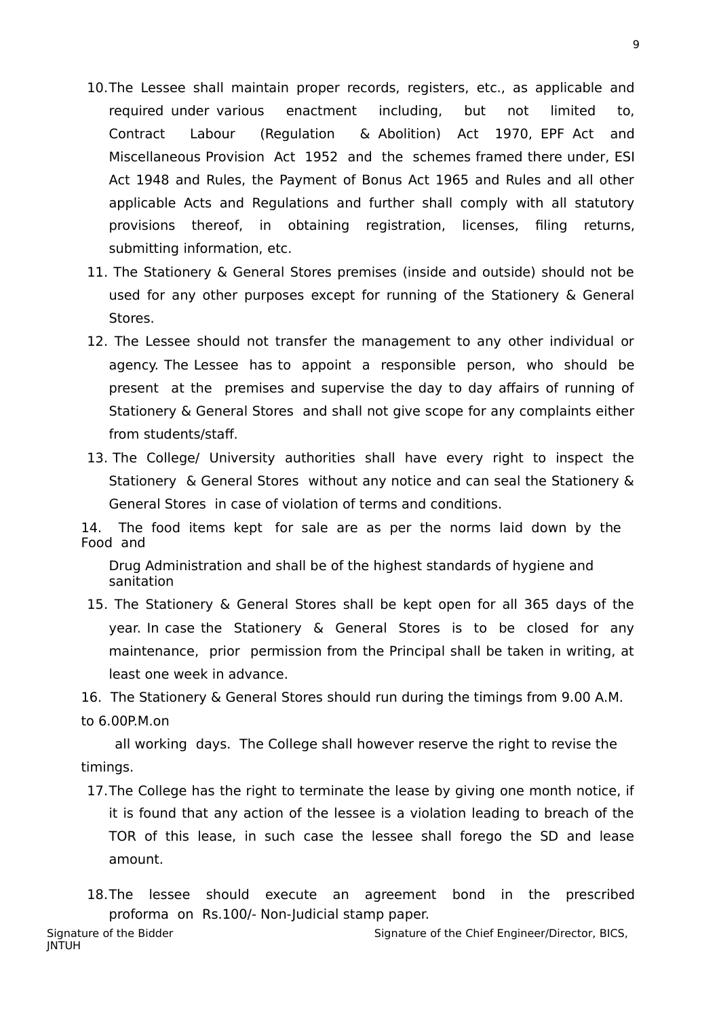- 10.The Lessee shall maintain proper records, registers, etc., as applicable and required under various enactment including, but not limited to, Contract Labour (Regulation & Abolition) Act 1970, EPF Act and Miscellaneous Provision Act 1952 and the schemes framed there under, ESI Act 1948 and Rules, the Payment of Bonus Act 1965 and Rules and all other applicable Acts and Regulations and further shall comply with all statutory provisions thereof, in obtaining registration, licenses, filing returns, submitting information, etc.
- 11. The Stationery & General Stores premises (inside and outside) should not be used for any other purposes except for running of the Stationery & General Stores.
- 12. The Lessee should not transfer the management to any other individual or agency. The Lessee has to appoint a responsible person, who should be present at the premises and supervise the day to day affairs of running of Stationery & General Stores and shall not give scope for any complaints either from students/staff.
- 13. The College/ University authorities shall have every right to inspect the Stationery & General Stores without any notice and can seal the Stationery & General Stores in case of violation of terms and conditions.

14. The food items kept for sale are as per the norms laid down by the Food and

Drug Administration and shall be of the highest standards of hygiene and sanitation

15. The Stationery & General Stores shall be kept open for all 365 days of the year. In case the Stationery & General Stores is to be closed for any maintenance, prior permission from the Principal shall be taken in writing, at least one week in advance.

16. The Stationery & General Stores should run during the timings from 9.00 A.M. to 6.00P.M.on

 all working days. The College shall however reserve the right to revise the timings.

17.The College has the right to terminate the lease by giving one month notice, if it is found that any action of the lessee is a violation leading to breach of the TOR of this lease, in such case the lessee shall forego the SD and lease amount.

18.The lessee should execute an agreement bond in the prescribed proforma on Rs.100/- Non-Judicial stamp paper.

Signature of the Bidder Signature of the Chief Engineer/Director, BICS, JNTUH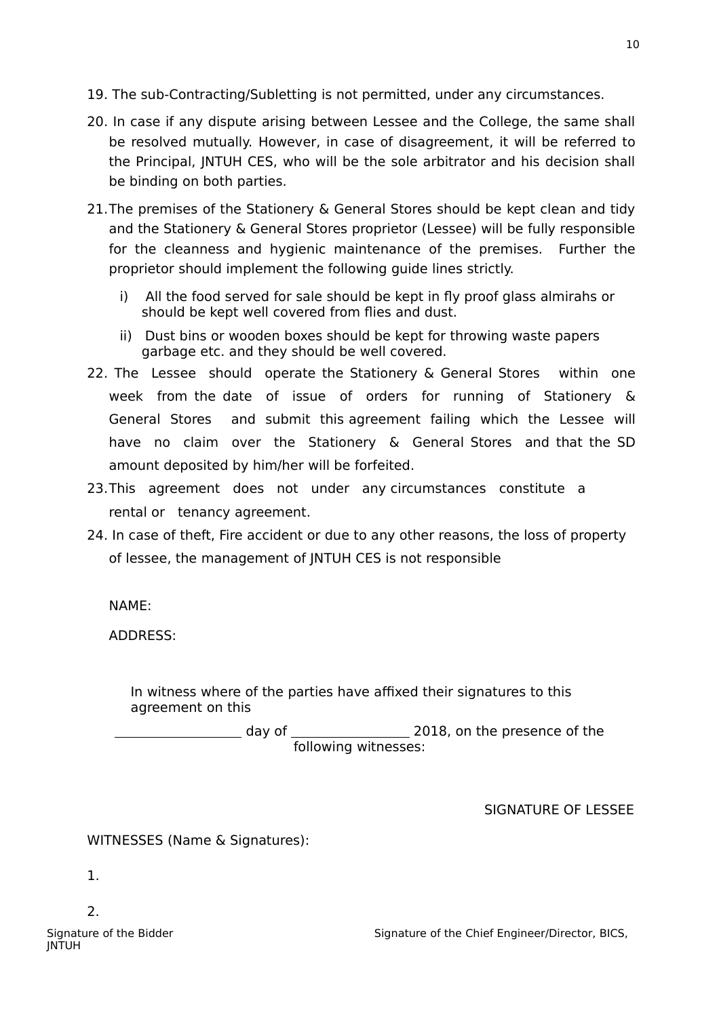- 19. The sub-Contracting/Subletting is not permitted, under any circumstances.
- 20. In case if any dispute arising between Lessee and the College, the same shall be resolved mutually. However, in case of disagreement, it will be referred to the Principal, JNTUH CES, who will be the sole arbitrator and his decision shall be binding on both parties.
- 21.The premises of the Stationery & General Stores should be kept clean and tidy and the Stationery & General Stores proprietor (Lessee) will be fully responsible for the cleanness and hygienic maintenance of the premises. Further the proprietor should implement the following guide lines strictly.
	- i) All the food served for sale should be kept in fly proof glass almirahs or should be kept well covered from flies and dust.
	- ii) Dust bins or wooden boxes should be kept for throwing waste papers garbage etc. and they should be well covered.
- 22. The Lessee should operate the Stationery & General Stores within one week from the date of issue of orders for running of Stationery & General Stores and submit this agreement failing which the Lessee will have no claim over the Stationery & General Stores and that the SD amount deposited by him/her will be forfeited.
- 23.This agreement does not under any circumstances constitute a rental or tenancy agreement.
- 24. In case of theft, Fire accident or due to any other reasons, the loss of property of lessee, the management of JNTUH CES is not responsible

NAME:

ADDRESS:

In witness where of the parties have affixed their signatures to this agreement on this

 day of 2018, on the presence of the following witnesses:

SIGNATURE OF LESSEE

WITNESSES (Name & Signatures):

1.

2.

JNTUH

Signature of the Bidder Signature of the Chief Engineer/Director, BICS,